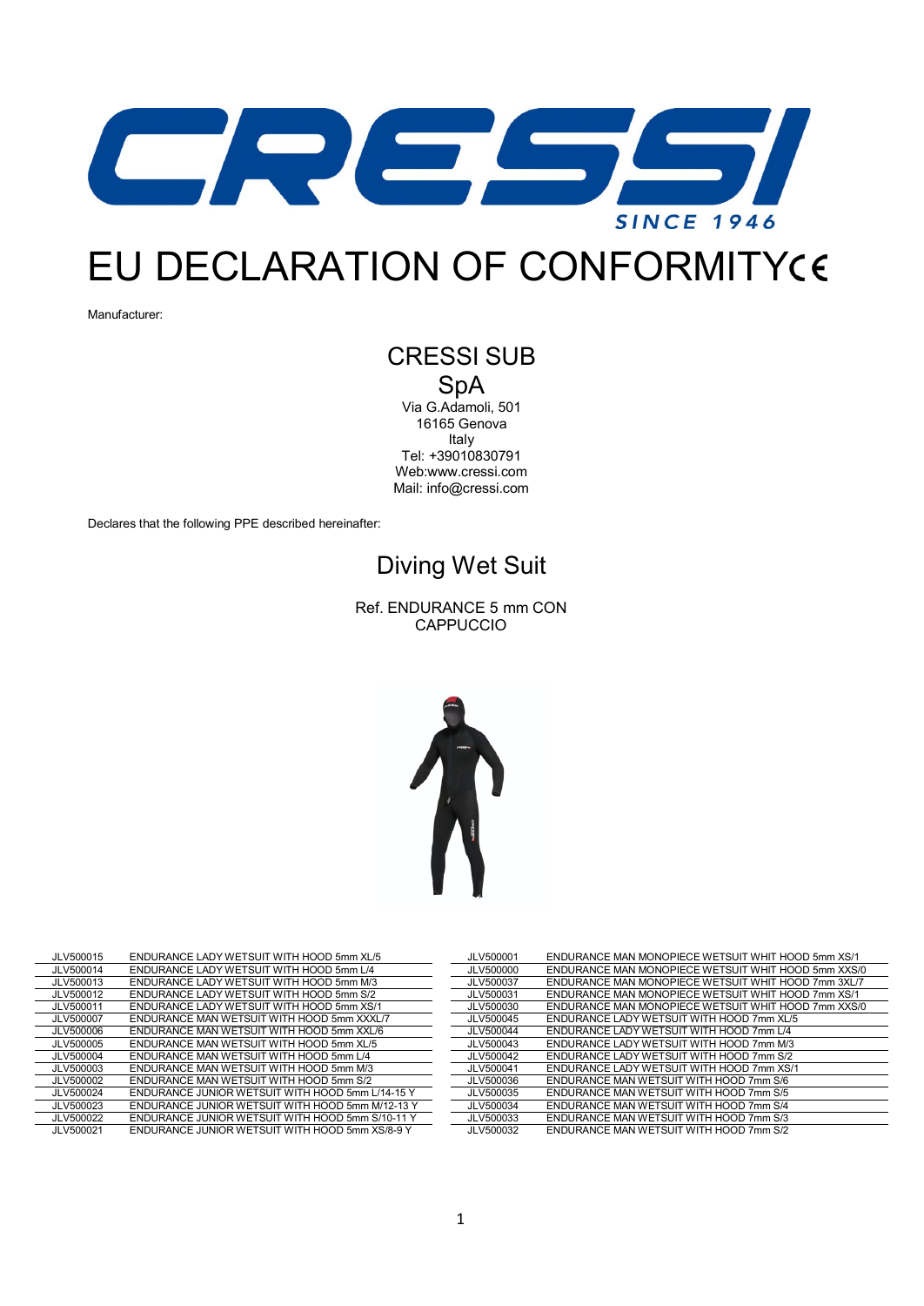

## EU DECLARATION OF CONFORMITY

Manufacturer:

## CRESSI SUB SpA

Via G.Adamoli, 501 16165 Genova Italy Tel: +39010830791 We[b:www.cressi.com](http://www.cressi.com/) Mail: [info@cressi.com](mailto:info@cressi.com)

Declares that the following PPE described hereinafter:

## Diving Wet Suit

Ref. ENDURANCE 5 mm CON CAPPUCCIO



| JLV500015 | ENDURANCE LADY WETSUIT WITH HOOD 5mm XL/5        | JLV500001 | <b>ENDURANCE MAN MONOPIECE WETSUIT WHIT HOOD 5mm XS/1</b> |
|-----------|--------------------------------------------------|-----------|-----------------------------------------------------------|
| JLV500014 | ENDURANCE LADY WETSUIT WITH HOOD 5mm L/4         | JLV500000 | ENDURANCE MAN MONOPIECE WETSUIT WHIT HOOD 5mm XXS/0       |
| JLV500013 | ENDURANCE LADY WETSUIT WITH HOOD 5mm M/3         | JLV500037 | ENDURANCE MAN MONOPIECE WETSUIT WHIT HOOD 7mm 3XL/7       |
| JLV500012 | ENDURANCE LADY WETSUIT WITH HOOD 5mm S/2         | JLV500031 | ENDURANCE MAN MONOPIECE WETSUIT WHIT HOOD 7mm XS/1        |
| JLV500011 | ENDURANCE LADY WETSUIT WITH HOOD 5mm XS/1        | JLV500030 | ENDURANCE MAN MONOPIECE WETSUIT WHIT HOOD 7mm XXS/0       |
| JLV500007 | ENDURANCE MAN WETSUIT WITH HOOD 5mm XXXL/7       | JLV500045 | ENDURANCE LADY WETSUIT WITH HOOD 7mm XL/5                 |
| JLV500006 | ENDURANCE MAN WETSUIT WITH HOOD 5mm XXL/6        | JLV500044 | ENDURANCE LADY WETSUIT WITH HOOD 7mm L/4                  |
| JLV500005 | ENDURANCE MAN WETSUIT WITH HOOD 5mm XL/5         | JLV500043 | ENDURANCE LADY WETSUIT WITH HOOD 7mm M/3                  |
| JLV500004 | ENDURANCE MAN WETSUIT WITH HOOD 5mm L/4          | JLV500042 | ENDURANCE LADY WETSUIT WITH HOOD 7mm S/2                  |
| JLV500003 | ENDURANCE MAN WETSUIT WITH HOOD 5mm M/3          | JLV500041 | ENDURANCE LADY WETSUIT WITH HOOD 7mm XS/1                 |
| JLV500002 | ENDURANCE MAN WETSUIT WITH HOOD 5mm S/2          | JLV500036 | ENDURANCE MAN WETSUIT WITH HOOD 7mm S/6                   |
| JLV500024 | ENDURANCE JUNIOR WETSUIT WITH HOOD 5mm L/14-15 Y | JLV500035 | ENDURANCE MAN WETSUIT WITH HOOD 7mm S/5                   |
| JLV500023 | ENDURANCE JUNIOR WETSUIT WITH HOOD 5mm M/12-13 Y | JLV500034 | ENDURANCE MAN WETSUIT WITH HOOD 7mm S/4                   |
| JLV500022 | ENDURANCE JUNIOR WETSUIT WITH HOOD 5mm S/10-11 Y | JLV500033 | ENDURANCE MAN WETSUIT WITH HOOD 7mm S/3                   |
| JLV500021 | ENDURANCE JUNIOR WETSUIT WITH HOOD 5mm XS/8-9 Y  | JLV500032 | ENDURANCE MAN WETSUIT WITH HOOD 7mm S/2                   |